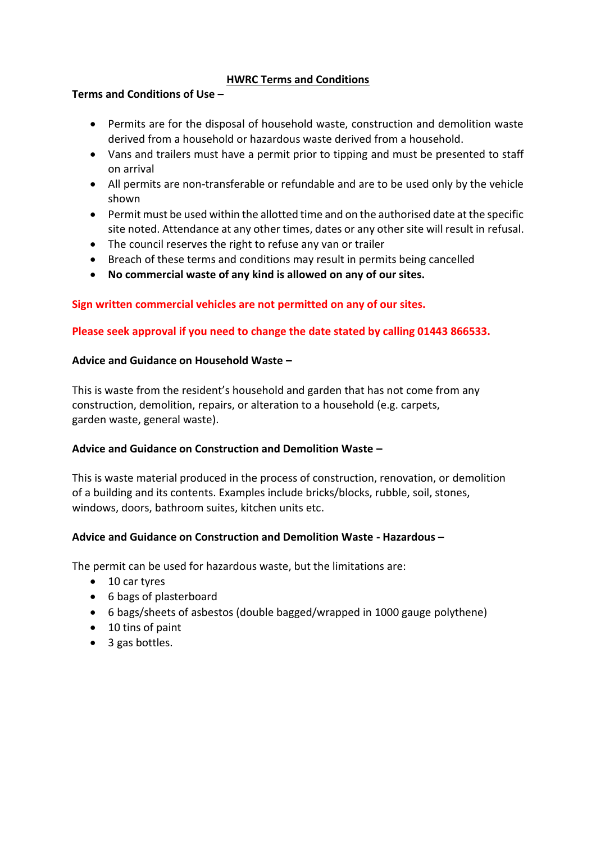# **HWRC Terms and Conditions**

### **Terms and Conditions of Use –**

- Permits are for the disposal of household waste, construction and demolition waste derived from a household or hazardous waste derived from a household.
- Vans and trailers must have a permit prior to tipping and must be presented to staff on arrival
- All permits are non-transferable or refundable and are to be used only by the vehicle shown
- Permit must be used within the allotted time and on the authorised date at the specific site noted. Attendance at any other times, dates or any other site will result in refusal.
- The council reserves the right to refuse any van or trailer
- Breach of these terms and conditions may result in permits being cancelled
- **No commercial waste of any kind is allowed on any of our sites.**

## **Sign written commercial vehicles are not permitted on any of our sites.**

## **Please seek approval if you need to change the date stated by calling 01443 866533.**

## **Advice and Guidance on Household Waste –**

This is waste from the resident's household and garden that has not come from any construction, demolition, repairs, or alteration to a household (e.g. carpets, garden waste, general waste).

## **Advice and Guidance on Construction and Demolition Waste –**

This is waste material produced in the process of construction, renovation, or demolition of a building and its contents. Examples include bricks/blocks, rubble, soil, stones, windows, doors, bathroom suites, kitchen units etc.

## **Advice and Guidance on Construction and Demolition Waste - Hazardous –**

The permit can be used for hazardous waste, but the limitations are:

- 10 car tyres
- 6 bags of plasterboard
- 6 bags/sheets of asbestos (double bagged/wrapped in 1000 gauge polythene)
- 10 tins of paint
- 3 gas bottles.